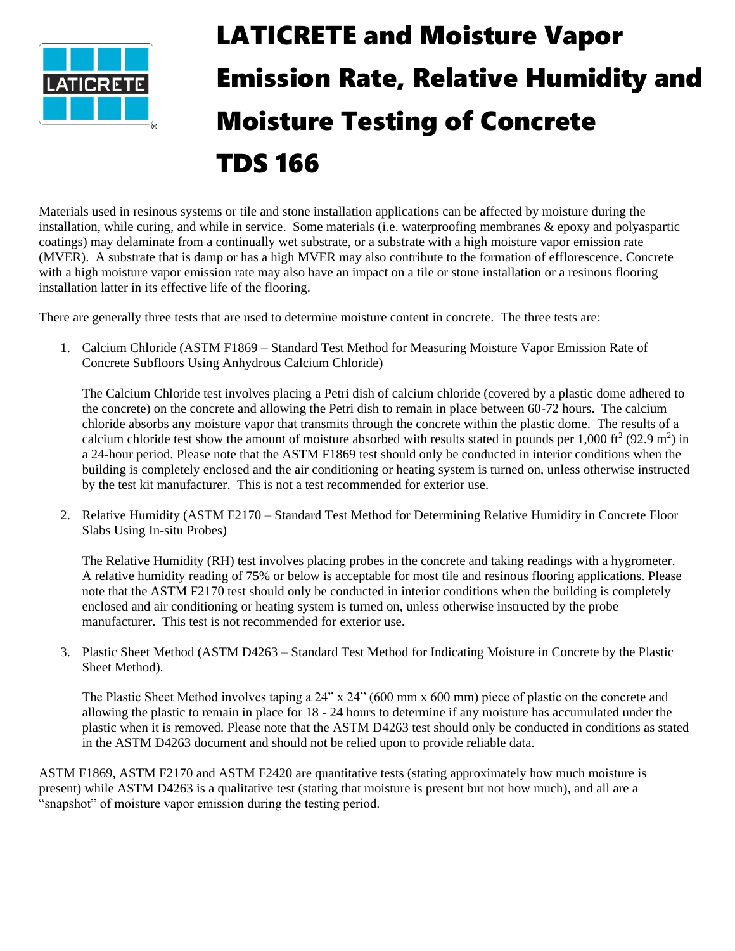

# LATICRETE and Moisture Vapor Emission Rate, Relative Humidity and Moisture Testing of Concrete

# TDS 166

Materials used in resinous systems or tile and stone installation applications can be affected by moisture during the installation, while curing, and while in service. Some materials (i.e. waterproofing membranes & epoxy and polyaspartic coatings) may delaminate from a continually wet substrate, or a substrate with a high moisture vapor emission rate (MVER). A substrate that is damp or has a high MVER may also contribute to the formation of efflorescence. Concrete with a high moisture vapor emission rate may also have an impact on a tile or stone installation or a resinous flooring installation latter in its effective life of the flooring.

There are generally three tests that are used to determine moisture content in concrete. The three tests are:

1. Calcium Chloride (ASTM F1869 – Standard Test Method for Measuring Moisture Vapor Emission Rate of Concrete Subfloors Using Anhydrous Calcium Chloride)

The Calcium Chloride test involves placing a Petri dish of calcium chloride (covered by a plastic dome adhered to the concrete) on the concrete and allowing the Petri dish to remain in place between 60-72 hours. The calcium chloride absorbs any moisture vapor that transmits through the concrete within the plastic dome. The results of a calcium chloride test show the amount of moisture absorbed with results stated in pounds per 1,000 ft<sup>2</sup> (92.9 m<sup>2</sup>) in a 24-hour period. Please note that the ASTM F1869 test should only be conducted in interior conditions when the building is completely enclosed and the air conditioning or heating system is turned on, unless otherwise instructed by the test kit manufacturer. This is not a test recommended for exterior use.

2. Relative Humidity (ASTM F2170 – Standard Test Method for Determining Relative Humidity in Concrete Floor Slabs Using In-situ Probes)

The Relative Humidity (RH) test involves placing probes in the concrete and taking readings with a hygrometer. A relative humidity reading of 75% or below is acceptable for most tile and resinous flooring applications. Please note that the ASTM F2170 test should only be conducted in interior conditions when the building is completely enclosed and air conditioning or heating system is turned on, unless otherwise instructed by the probe manufacturer. This test is not recommended for exterior use.

3. Plastic Sheet Method (ASTM D4263 – Standard Test Method for Indicating Moisture in Concrete by the Plastic Sheet Method).

The Plastic Sheet Method involves taping a 24" x 24" (600 mm x 600 mm) piece of plastic on the concrete and allowing the plastic to remain in place for 18 - 24 hours to determine if any moisture has accumulated under the plastic when it is removed. Please note that the ASTM D4263 test should only be conducted in conditions as stated in the ASTM D4263 document and should not be relied upon to provide reliable data.

ASTM F1869, ASTM F2170 and ASTM F2420 are quantitative tests (stating approximately how much moisture is present) while ASTM D4263 is a qualitative test (stating that moisture is present but not how much), and all are a "snapshot" of moisture vapor emission during the testing period.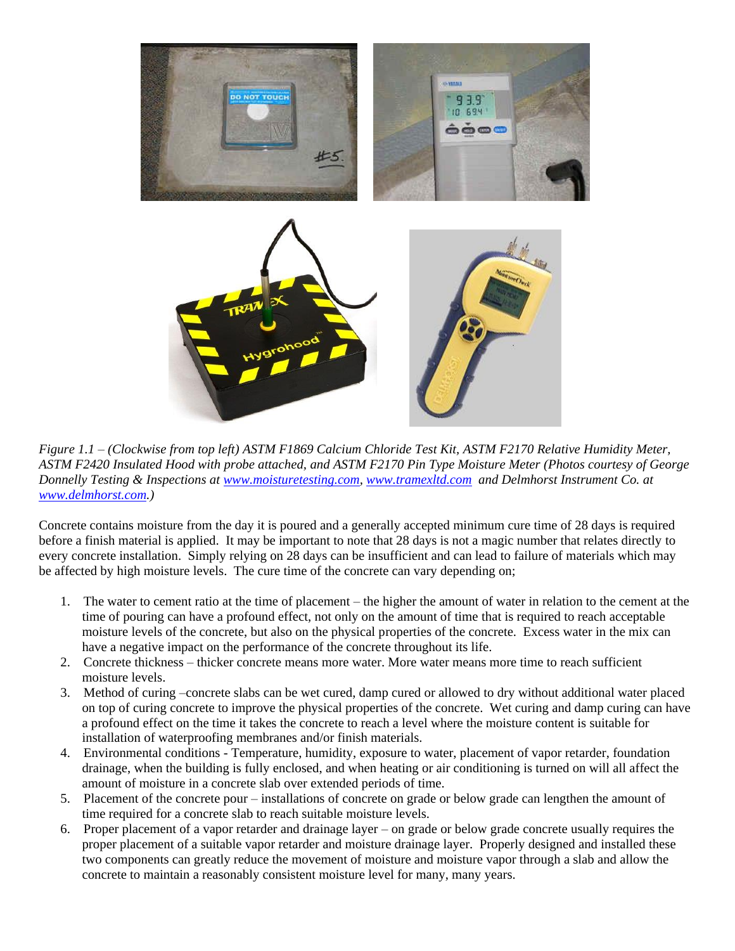

*Figure 1.1 – (Clockwise from top left) ASTM F1869 Calcium Chloride Test Kit, ASTM F2170 Relative Humidity Meter, ASTM F2420 Insulated Hood with probe attached, and ASTM F2170 Pin Type Moisture Meter (Photos courtesy of George Donnelly Testing & Inspections at [www.moisturetesting.com,](http://www.moisturetesting.com/) [www.tramexltd.com](http://www.tramexltd.com/) and Delmhorst Instrument Co. at [www.delmhorst.com.](file://///nt_server2/ntserver/TechDataSheets/Tech%20Data%20Sheets%20WORD%20FORMAT%20-%20ACCESS%20RESTRICTED%20-%20DOC/www.delmhorst.com))*

Concrete contains moisture from the day it is poured and a generally accepted minimum cure time of 28 days is required before a finish material is applied. It may be important to note that 28 days is not a magic number that relates directly to every concrete installation. Simply relying on 28 days can be insufficient and can lead to failure of materials which may be affected by high moisture levels. The cure time of the concrete can vary depending on;

- 1. The water to cement ratio at the time of placement the higher the amount of water in relation to the cement at the time of pouring can have a profound effect, not only on the amount of time that is required to reach acceptable moisture levels of the concrete, but also on the physical properties of the concrete. Excess water in the mix can have a negative impact on the performance of the concrete throughout its life.
- 2. Concrete thickness thicker concrete means more water. More water means more time to reach sufficient moisture levels.
- 3. Method of curing –concrete slabs can be wet cured, damp cured or allowed to dry without additional water placed on top of curing concrete to improve the physical properties of the concrete. Wet curing and damp curing can have a profound effect on the time it takes the concrete to reach a level where the moisture content is suitable for installation of waterproofing membranes and/or finish materials.
- 4. Environmental conditions Temperature, humidity, exposure to water, placement of vapor retarder, foundation drainage, when the building is fully enclosed, and when heating or air conditioning is turned on will all affect the amount of moisture in a concrete slab over extended periods of time.
- 5. Placement of the concrete pour installations of concrete on grade or below grade can lengthen the amount of time required for a concrete slab to reach suitable moisture levels.
- 6. Proper placement of a vapor retarder and drainage layer on grade or below grade concrete usually requires the proper placement of a suitable vapor retarder and moisture drainage layer. Properly designed and installed these two components can greatly reduce the movement of moisture and moisture vapor through a slab and allow the concrete to maintain a reasonably consistent moisture level for many, many years.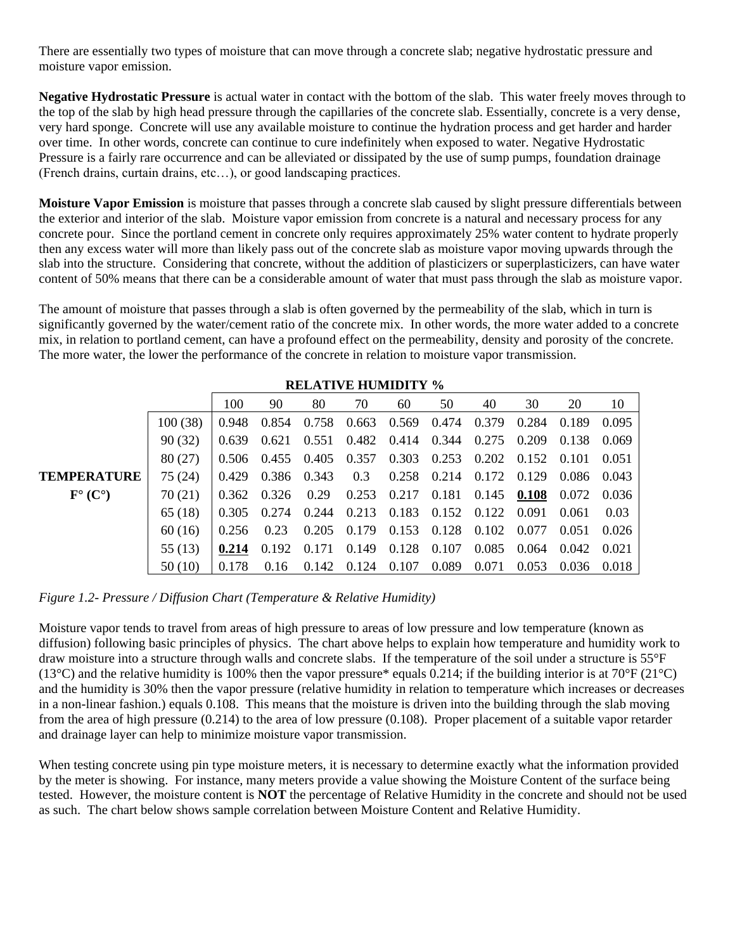There are essentially two types of moisture that can move through a concrete slab; negative hydrostatic pressure and moisture vapor emission.

**Negative Hydrostatic Pressure** is actual water in contact with the bottom of the slab. This water freely moves through to the top of the slab by high head pressure through the capillaries of the concrete slab. Essentially, concrete is a very dense, very hard sponge. Concrete will use any available moisture to continue the hydration process and get harder and harder over time. In other words, concrete can continue to cure indefinitely when exposed to water. Negative Hydrostatic Pressure is a fairly rare occurrence and can be alleviated or dissipated by the use of sump pumps, foundation drainage (French drains, curtain drains, etc…), or good landscaping practices.

**Moisture Vapor Emission** is moisture that passes through a concrete slab caused by slight pressure differentials between the exterior and interior of the slab. Moisture vapor emission from concrete is a natural and necessary process for any concrete pour. Since the portland cement in concrete only requires approximately 25% water content to hydrate properly then any excess water will more than likely pass out of the concrete slab as moisture vapor moving upwards through the slab into the structure. Considering that concrete, without the addition of plasticizers or superplasticizers, can have water content of 50% means that there can be a considerable amount of water that must pass through the slab as moisture vapor.

The amount of moisture that passes through a slab is often governed by the permeability of the slab, which in turn is significantly governed by the water/cement ratio of the concrete mix. In other words, the more water added to a concrete mix, in relation to portland cement, can have a profound effect on the permeability, density and porosity of the concrete. The more water, the lower the performance of the concrete in relation to moisture vapor transmission.

|                                          | <b>RELATIVE HUMIDITY %</b> |       |                         |       |                   |                         |                         |               |                         |        |       |
|------------------------------------------|----------------------------|-------|-------------------------|-------|-------------------|-------------------------|-------------------------|---------------|-------------------------|--------|-------|
|                                          |                            | 100   | 90                      | 80    | 70                | 60                      | 50                      | 40            | 30                      | 20     | 10    |
|                                          | 100(38)                    | 0.948 | 0.854                   | 0.758 |                   | $0.663$ $0.569$ $0.474$ |                         | 0.379         | 0.284 0.189             |        | 0.095 |
|                                          | 90(32)                     | 0.639 | 0.621                   | 0.551 | 0.482 0.414 0.344 |                         |                         | 0.275         | 0.209                   | 0.138  | 0.069 |
|                                          | 80 (27)                    |       | $0.506$ $0.455$ $0.405$ |       |                   | $0.357$ $0.303$ $0.253$ |                         |               | $0.202$ $0.152$ $0.101$ |        | 0.051 |
| <b>TEMPERATURE</b>                       | 75 (24)                    | 0.429 | 0.386                   | 0.343 | 0.3               | $0.258$ 0.214           |                         | 0.172 0.129   |                         | -0.086 | 0.043 |
| $\mathbf{F}^{\circ}(\mathbf{C}^{\circ})$ | 70 (21)                    |       | 0.362 0.326             | 0.29  |                   | $0.253$ $0.217$ $0.181$ |                         | $0.145$ 0.108 |                         | 0.072  | 0.036 |
|                                          | 65(18)                     | 0.305 | 0.274                   | 0.244 |                   |                         | 0.213 0.183 0.152 0.122 |               | 0.091                   | 0.061  | 0.03  |
|                                          | 60(16)                     | 0.256 | 0.23                    | 0.205 | 0.179             | 0.153 0.128             |                         | 0.102 0.077   |                         | 0.051  | 0.026 |
|                                          | 55 (13)                    | 0.214 | 0.192                   | 0.171 |                   | $0.149$ $0.128$ $0.107$ |                         |               | 0.085 0.064             | 0.042  | 0.021 |
|                                          | 50 (10)                    | 0.178 | 0.16                    | 0.142 |                   | $0.124$ 0.107           | 0.089                   | 0.071         | 0.053                   | 0.036  | 0.018 |

*Figure 1.2- Pressure / Diffusion Chart (Temperature & Relative Humidity)*

Moisture vapor tends to travel from areas of high pressure to areas of low pressure and low temperature (known as diffusion) following basic principles of physics. The chart above helps to explain how temperature and humidity work to draw moisture into a structure through walls and concrete slabs. If the temperature of the soil under a structure is 55°F (13<sup>o</sup>C) and the relative humidity is 100% then the vapor pressure\* equals 0.214; if the building interior is at 70<sup>o</sup>F (21<sup>o</sup>C) and the humidity is 30% then the vapor pressure (relative humidity in relation to temperature which increases or decreases in a non-linear fashion.) equals 0.108. This means that the moisture is driven into the building through the slab moving from the area of high pressure (0.214) to the area of low pressure (0.108). Proper placement of a suitable vapor retarder and drainage layer can help to minimize moisture vapor transmission.

When testing concrete using pin type moisture meters, it is necessary to determine exactly what the information provided by the meter is showing. For instance, many meters provide a value showing the Moisture Content of the surface being tested. However, the moisture content is **NOT** the percentage of Relative Humidity in the concrete and should not be used as such. The chart below shows sample correlation between Moisture Content and Relative Humidity.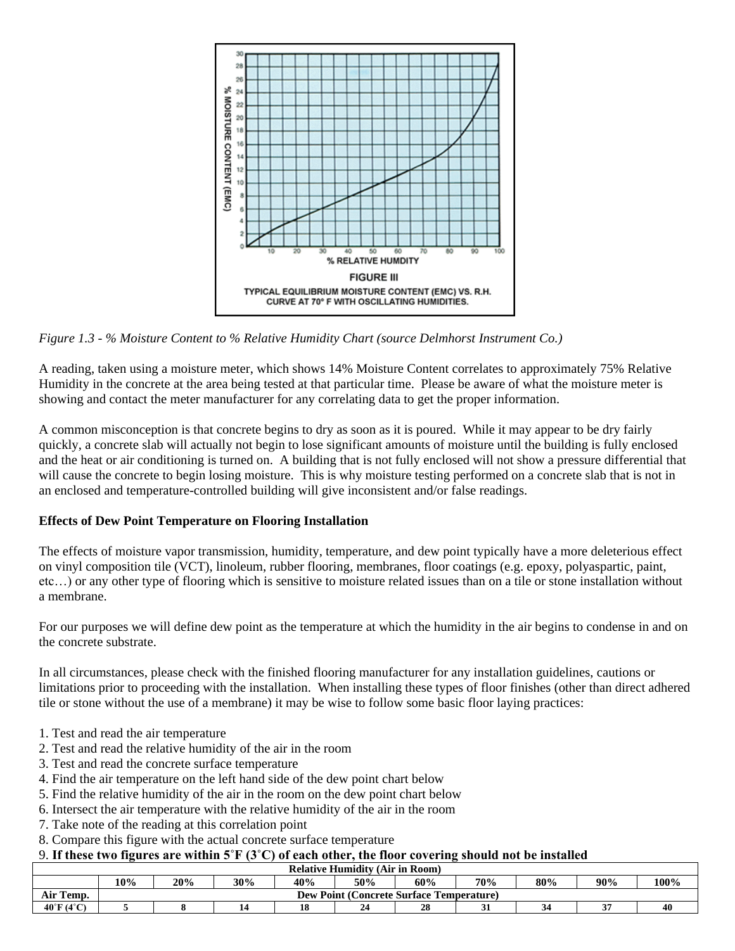

*Figure 1.3 - % Moisture Content to % Relative Humidity Chart (source Delmhorst Instrument Co.)*

A reading, taken using a moisture meter, which shows 14% Moisture Content correlates to approximately 75% Relative Humidity in the concrete at the area being tested at that particular time. Please be aware of what the moisture meter is showing and contact the meter manufacturer for any correlating data to get the proper information.

A common misconception is that concrete begins to dry as soon as it is poured. While it may appear to be dry fairly quickly, a concrete slab will actually not begin to lose significant amounts of moisture until the building is fully enclosed and the heat or air conditioning is turned on. A building that is not fully enclosed will not show a pressure differential that will cause the concrete to begin losing moisture. This is why moisture testing performed on a concrete slab that is not in an enclosed and temperature-controlled building will give inconsistent and/or false readings.

### **Effects of Dew Point Temperature on Flooring Installation**

The effects of moisture vapor transmission, humidity, temperature, and dew point typically have a more deleterious effect on vinyl composition tile (VCT), linoleum, rubber flooring, membranes, floor coatings (e.g. epoxy, polyaspartic, paint, etc…) or any other type of flooring which is sensitive to moisture related issues than on a tile or stone installation without a membrane.

For our purposes we will define dew point as the temperature at which the humidity in the air begins to condense in and on the concrete substrate.

In all circumstances, please check with the finished flooring manufacturer for any installation guidelines, cautions or limitations prior to proceeding with the installation. When installing these types of floor finishes (other than direct adhered tile or stone without the use of a membrane) it may be wise to follow some basic floor laying practices:

- 1. Test and read the air temperature
- 2. Test and read the relative humidity of the air in the room
- 3. Test and read the concrete surface temperature
- 4. Find the air temperature on the left hand side of the dew point chart below
- 5. Find the relative humidity of the air in the room on the dew point chart below
- 6. Intersect the air temperature with the relative humidity of the air in the room
- 7. Take note of the reading at this correlation point
- 8. Compare this figure with the actual concrete surface temperature

## 9. **If these two figures are within 5˚F (3˚C) of each other, the floor covering should not be installed**

| <b>Relative Humidity (Air in Room)</b> |                                                 |     |     |     |     |     |     |     |        |      |
|----------------------------------------|-------------------------------------------------|-----|-----|-----|-----|-----|-----|-----|--------|------|
|                                        | 10%                                             | 20% | 30% | 40% | 50% | 60% | 70% | 80% | 90%    | 100% |
| Air Temp.                              | <b>Dew Point (Concrete Surface Temperature)</b> |     |     |     |     |     |     |     |        |      |
| $40^{\circ}$ F (4 $^{\circ}$ C)        |                                                 |     |     |     |     | 28  |     | 34  | $\sim$ | 40   |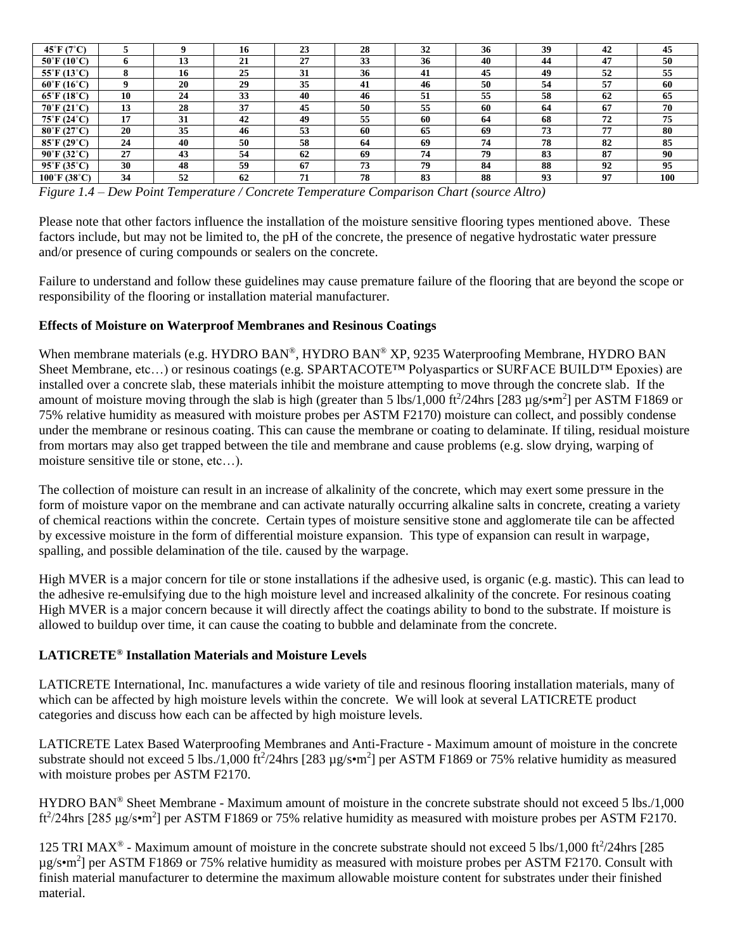| $45^{\circ}$ F (7 $^{\circ}$ C)   |             |    | 16 | 23 | 28 | 32 | 36 | 39 | 42 | 45  |
|-----------------------------------|-------------|----|----|----|----|----|----|----|----|-----|
| $50^{\circ}$ F (10 $^{\circ}$ C)  | o           | 13 | 21 | 27 | 33 | 36 | 40 | 44 | 47 | 50  |
| $55^{\circ}$ F (13 $^{\circ}$ C)  | 8           | 16 | 25 | 31 | 36 | 41 | 45 | 49 | 52 | 55  |
| $60^{\circ}$ F (16 $^{\circ}$ C)  | $\mathbf Q$ | 20 | 29 | 35 | 41 | 46 | 50 | 54 | 57 | 60  |
| $65^{\circ}$ F (18 $^{\circ}$ C)  | 10          | 24 | 33 | 40 | 46 | 51 | 55 | 58 | 62 | 65  |
| $70^{\circ}$ F (21 $^{\circ}$ C)  | 13          | 28 | 37 | 45 | 50 | 55 | 60 | 64 | 67 | 70  |
| $75^{\circ}$ F (24 $^{\circ}$ C)  | 17          | 31 | 42 | 49 | 55 | 60 | 64 | 68 | 72 | 75  |
| $80^{\circ}$ F (27 $^{\circ}$ C)  | 20          | 35 | 46 | 53 | 60 | 65 | 69 | 73 | 77 | 80  |
| $85^{\circ}$ F (29 $^{\circ}$ C)  | 24          | 40 | 50 | 58 | 64 | 69 | 74 | 78 | 82 | 85  |
| $90^{\circ}$ F (32 $^{\circ}$ C)  | 27          | 43 | 54 | 62 | 69 | 74 | 79 | 83 | 87 | 90  |
| $95^{\circ}$ F (35 $^{\circ}$ C)  | 30          | 48 | 59 | 67 | 73 | 79 | 84 | 88 | 92 | 95  |
| $100^{\circ}$ F (38 $^{\circ}$ C) | 34          | 52 | 62 | 71 | 78 | 83 | 88 | 93 | 97 | 100 |

*Figure 1.4 – Dew Point Temperature / Concrete Temperature Comparison Chart (source Altro)*

Please note that other factors influence the installation of the moisture sensitive flooring types mentioned above. These factors include, but may not be limited to, the pH of the concrete, the presence of negative hydrostatic water pressure and/or presence of curing compounds or sealers on the concrete.

Failure to understand and follow these guidelines may cause premature failure of the flooring that are beyond the scope or responsibility of the flooring or installation material manufacturer.

### **Effects of Moisture on Waterproof Membranes and Resinous Coatings**

When membrane materials (e.g. HYDRO BAN®, HYDRO BAN® XP, 9235 Waterproofing Membrane, HYDRO BAN Sheet Membrane, etc…) or resinous coatings (e.g. SPARTACOTE™ Polyaspartics or SURFACE BUILD™ Epoxies) are installed over a concrete slab, these materials inhibit the moisture attempting to move through the concrete slab. If the amount of moisture moving through the slab is high (greater than 5 lbs/1,000 ft $^2$ /24hrs [283 µg/s•m<sup>2</sup>] per ASTM F1869 or 75% relative humidity as measured with moisture probes per ASTM F2170) moisture can collect, and possibly condense under the membrane or resinous coating. This can cause the membrane or coating to delaminate. If tiling, residual moisture from mortars may also get trapped between the tile and membrane and cause problems (e.g. slow drying, warping of moisture sensitive tile or stone, etc…).

The collection of moisture can result in an increase of alkalinity of the concrete, which may exert some pressure in the form of moisture vapor on the membrane and can activate naturally occurring alkaline salts in concrete, creating a variety of chemical reactions within the concrete. Certain types of moisture sensitive stone and agglomerate tile can be affected by excessive moisture in the form of differential moisture expansion. This type of expansion can result in warpage, spalling, and possible delamination of the tile. caused by the warpage.

High MVER is a major concern for tile or stone installations if the adhesive used, is organic (e.g. mastic). This can lead to the adhesive re-emulsifying due to the high moisture level and increased alkalinity of the concrete. For resinous coating High MVER is a major concern because it will directly affect the coatings ability to bond to the substrate. If moisture is allowed to buildup over time, it can cause the coating to bubble and delaminate from the concrete.

### **LATICRETE® Installation Materials and Moisture Levels**

LATICRETE International, Inc. manufactures a wide variety of tile and resinous flooring installation materials, many of which can be affected by high moisture levels within the concrete. We will look at several LATICRETE product categories and discuss how each can be affected by high moisture levels.

LATICRETE Latex Based Waterproofing Membranes and Anti-Fracture - Maximum amount of moisture in the concrete substrate should not exceed 5 lbs./1,000 ft<sup>2</sup>/24hrs [283  $\mu$ g/s•m<sup>2</sup>] per ASTM F1869 or 75% relative humidity as measured with moisture probes per ASTM F2170.

HYDRO BAN® Sheet Membrane - Maximum amount of moisture in the concrete substrate should not exceed 5 lbs./1,000 ft<sup>2</sup>/24hrs [285 µg/s•m<sup>2</sup>] per ASTM F1869 or 75% relative humidity as measured with moisture probes per ASTM F2170.

125 TRI MAX<sup>®</sup> - Maximum amount of moisture in the concrete substrate should not exceed 5 lbs/1,000 ft<sup>2</sup>/24hrs [285  $\mu$ g/s•m<sup>2</sup>] per ASTM F1869 or 75% relative humidity as measured with moisture probes per ASTM F2170. Consult with finish material manufacturer to determine the maximum allowable moisture content for substrates under their finished material.